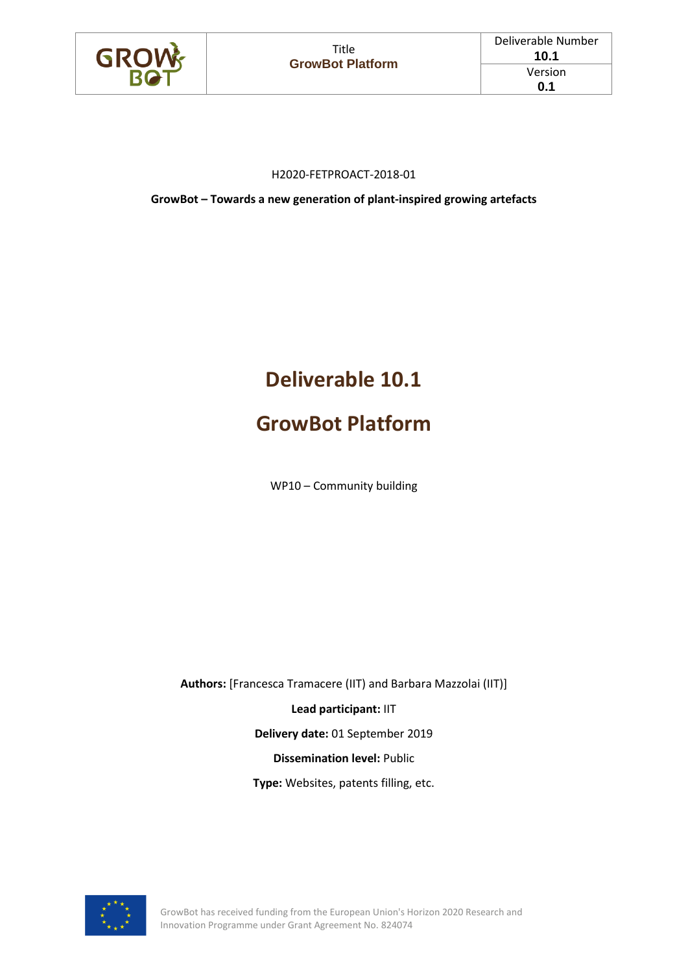

#### H2020-FETPROACT-2018-01

**GrowBot – Towards a new generation of plant-inspired growing artefacts**

# **Deliverable 10.1**

## **GrowBot Platform**

WP10 – Community building

**Authors:** [Francesca Tramacere (IIT) and Barbara Mazzolai (IIT)]

**Lead participant:** IIT

**Delivery date:** 01 September 2019

**Dissemination level:** Public

**Type:** Websites, patents filling, etc.



GrowBot has received funding from the European Union's Horizon 2020 Research and Innovation Programme under Grant Agreement No. 824074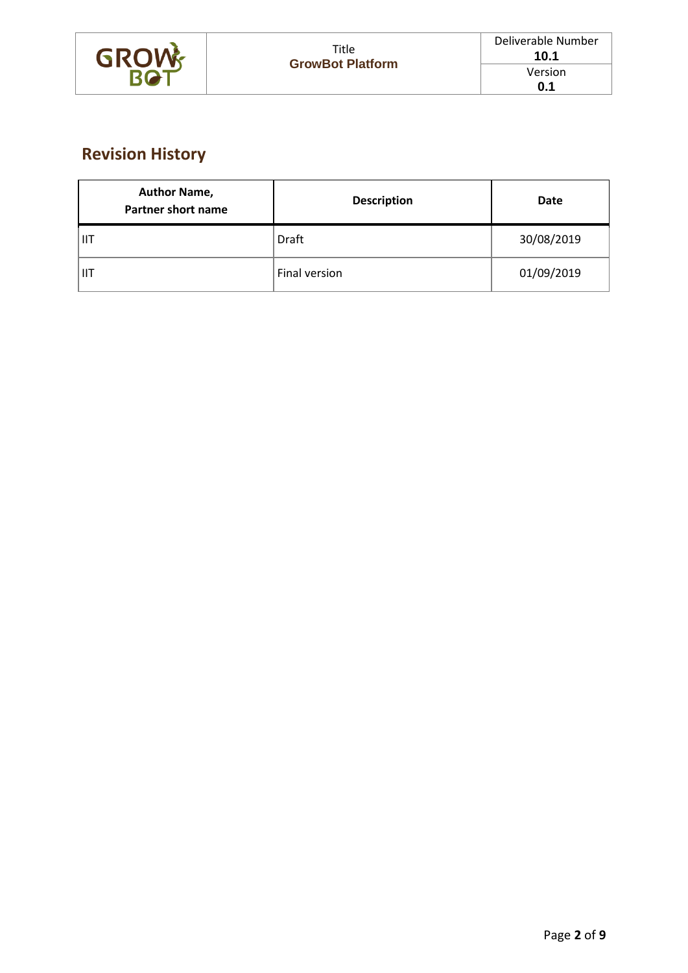

## **Revision History**

| <b>Author Name,</b><br><b>Partner short name</b> | <b>Description</b> | Date       |  |
|--------------------------------------------------|--------------------|------------|--|
| ШT                                               | Draft              | 30/08/2019 |  |
| <b>IIT</b>                                       | Final version      | 01/09/2019 |  |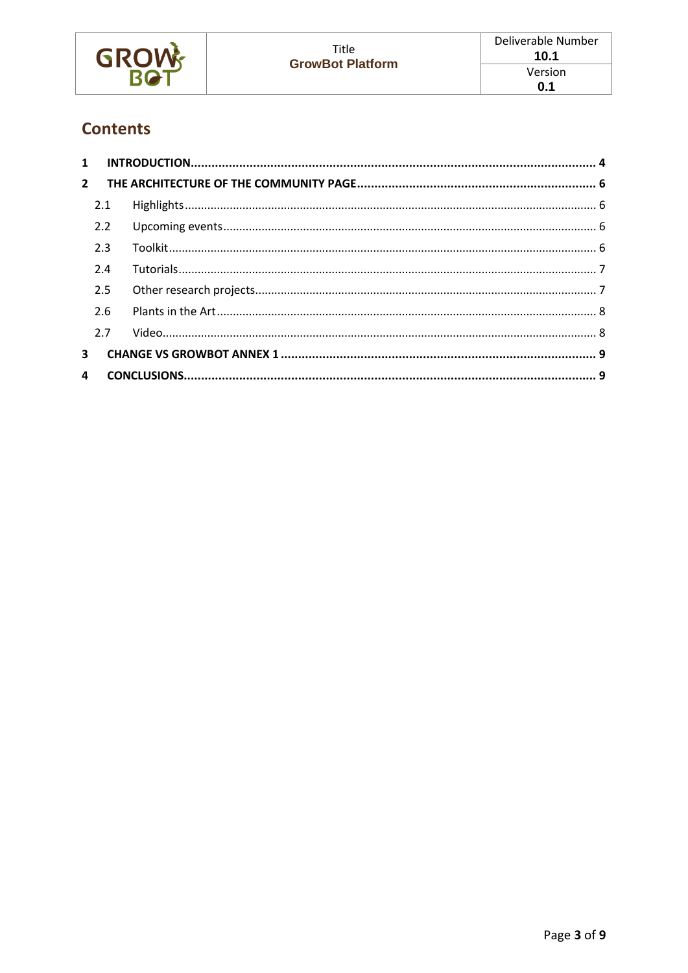| <b>GROW</b> | Title<br><b>GrowBot Platform</b> | Deliverable Number<br>10.1 |
|-------------|----------------------------------|----------------------------|
|             |                                  | Version                    |
|             |                                  | 0.1                        |

## **Contents**

| 1            |     |  |
|--------------|-----|--|
| $2^{\circ}$  |     |  |
|              | 2.1 |  |
|              | 2.2 |  |
|              | 2.3 |  |
|              | 2.4 |  |
|              | 2.5 |  |
|              | 2.6 |  |
|              | 2.7 |  |
| 3            |     |  |
| $\mathbf{A}$ |     |  |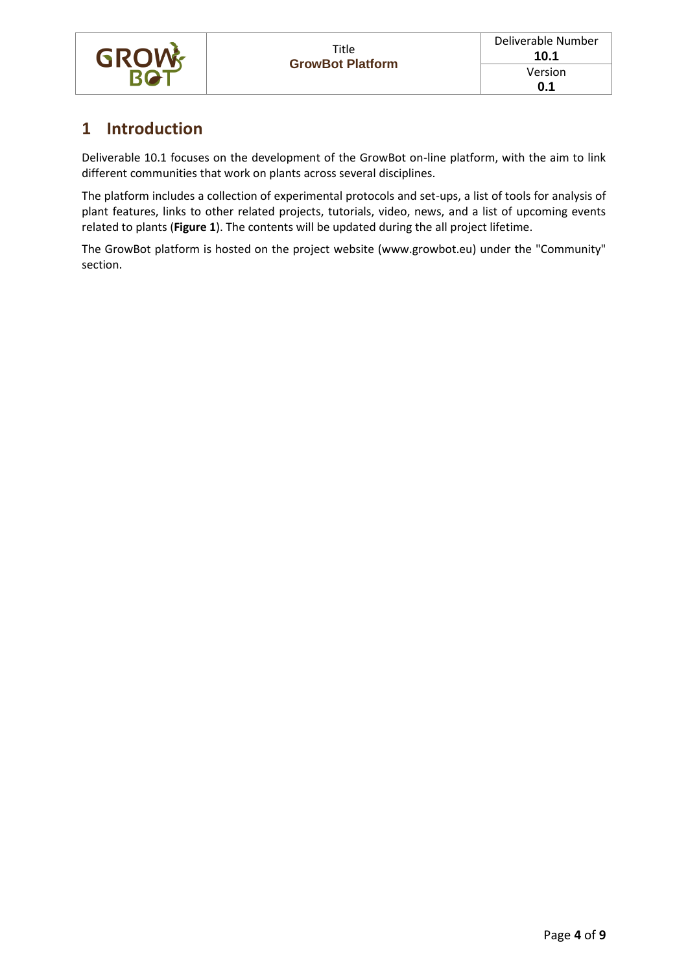

### <span id="page-3-0"></span>**1 Introduction**

Deliverable 10.1 focuses on the development of the GrowBot on-line platform, with the aim to link different communities that work on plants across several disciplines.

The platform includes a collection of experimental protocols and set-ups, a list of tools for analysis of plant features, links to other related projects, tutorials, video, news, and a list of upcoming events related to plants (**[Figure 1](#page-4-0)**). The contents will be updated during the all project lifetime.

The GrowBot platform is hosted on the project website (www.growbot.eu) under the "Community" section.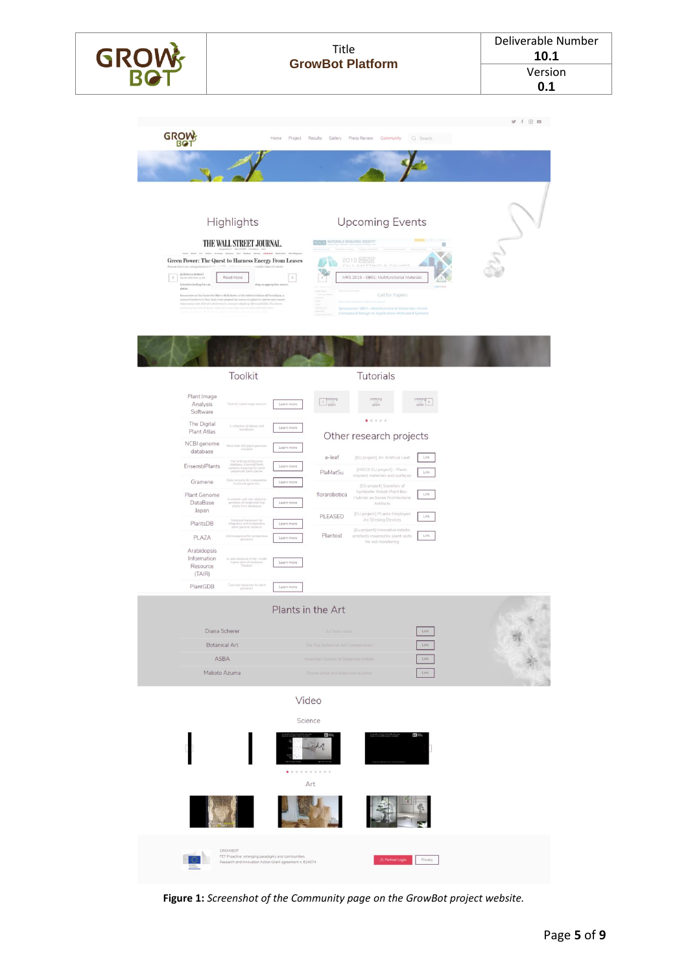| GROW | Title                   | Deliverable Number<br>10.1 |  |
|------|-------------------------|----------------------------|--|
|      | <b>GrowBot Platform</b> | Version                    |  |
|      |                         | 0.1                        |  |
|      |                         |                            |  |





| The Digital             | A collection of atlanet and                               |            |               | 0 0 0 0 0                                                     |      |
|-------------------------|-----------------------------------------------------------|------------|---------------|---------------------------------------------------------------|------|
| Plant Atlas             | handbooks                                                 | Learn more |               | Other research projects                                       |      |
| NCBI genome<br>database | More than 400 plant genomes<br>ausilable                  | Learn more |               |                                                               |      |
|                         | Part of EnsemblGenome<br>database. EncembiPlants          |            | a-leaf        | <b>IEU project) An Artificial Leaf</b>                        | Link |
| EnsemblPlants           | contains resources for some<br>sequenced plant species:   | Learn more | PlaMatSu      | [MSCA EU project] - Plant-<br>inspired materials and surfaces | Link |
| Gramene                 | Data resource for comparative<br>functional genomics      | Learn more |               | [EU project] Societies of                                     |      |
| Plant Genome            | A website with info related to                            |            | florarobotica | Symbiotic Robot-Plant Bio-<br>Hybrids as Social Architectural | Link |
| DataBase<br>Japan       | genomes of model and crop<br>plants from databases.       | Learn more |               | <b>Artifacts</b>                                              |      |
|                         | Database framework for                                    |            | PLEASED       | [EU project] PLants Employed<br>As SEnsing Devices            | Link |
| PlantsDB                | integrative and comparative<br>plant genome research      | Learn more |               | [Eu project] Innovative robotic                               |      |
| PLAZA                   | Online resource for comparative<br>genomics               | Learn more | Plantoid      | artefacts inspired by plant roots<br>for soil monitoring      | Link |
| Arabidopsis             |                                                           |            |               |                                                               |      |
| Information             | A web database of the "model"<br>higher plant Arabidopsis | Learn more |               |                                                               |      |
| Resource<br>(TAIR)      | Thalisma"                                                 |            |               |                                                               |      |
| PlantGDB                | Tools and resources for plant.<br>genomics                | Learn more |               |                                                               |      |
|                         |                                                           |            |               |                                                               |      |

| Diana Scherer        | Art from roots                         | Link |  |
|----------------------|----------------------------------------|------|--|
| <b>Botanical Art</b> | The Top Botanical Art Compendium       | Link |  |
| ASBA                 | American Society of Botanical Artists  | Link |  |
| Makoto Azuma         | : Flower artist and botanical sculptor | Link |  |
|                      |                                        |      |  |

Video

<span id="page-4-0"></span>

**Figure 1:** *Screenshot of the Community page on the GrowBot project website.*

×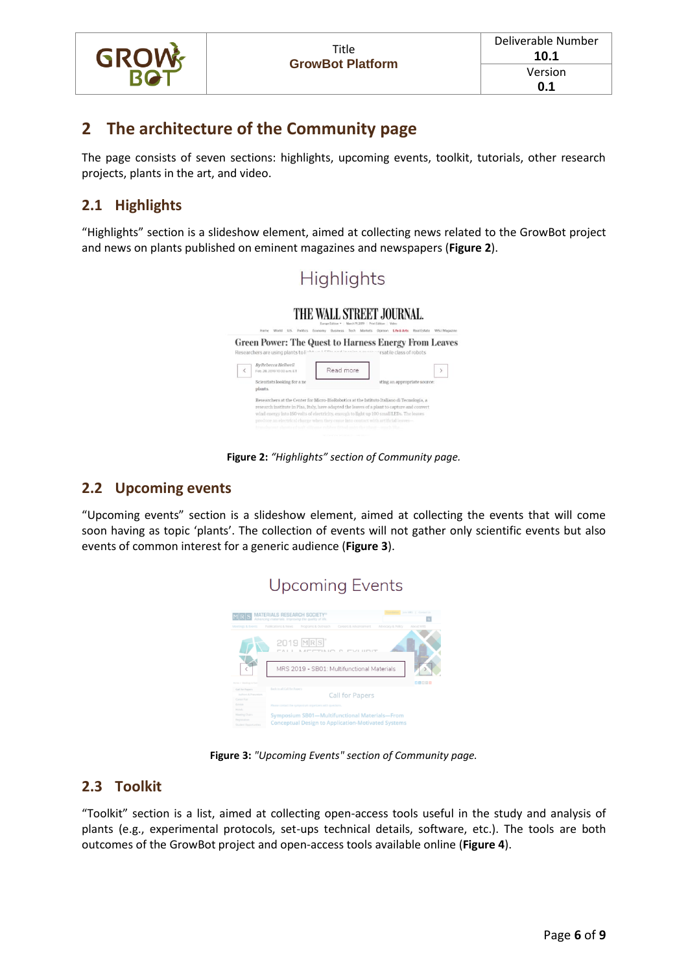

### <span id="page-5-0"></span>**2 The architecture of the Community page**

The page consists of seven sections: highlights, upcoming events, toolkit, tutorials, other research projects, plants in the art, and video.

#### <span id="page-5-1"></span>**2.1 Highlights**

"Highlights" section is a slideshow element, aimed at collecting news related to the GrowBot project and news on plants published on eminent magazines and newspapers (**[Figure 2](#page-5-4)**).



**Figure 2:** *"Highlights" section of Community page.*

#### <span id="page-5-4"></span><span id="page-5-2"></span>**2.2 Upcoming events**

"Upcoming events" section is a slideshow element, aimed at collecting the events that will come soon having as topic 'plants'. The collection of events will not gather only scientific events but also events of common interest for a generic audience (**[Figure 3](#page-5-5)**).



**Figure 3:** *"Upcoming Events" section of Community page.*

#### <span id="page-5-5"></span><span id="page-5-3"></span>**2.3 Toolkit**

"Toolkit" section is a list, aimed at collecting open-access tools useful in the study and analysis of plants (e.g., experimental protocols, set-ups technical details, software, etc.). The tools are both outcomes of the GrowBot project and open-access tools available online (**[Figure 4](#page-6-2)**).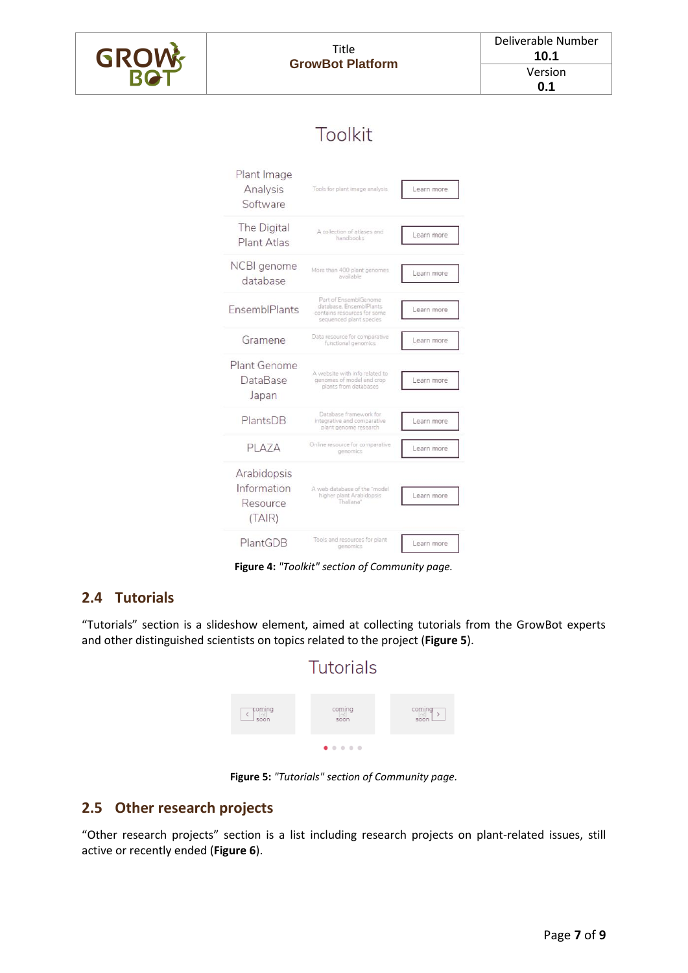

## Toolkit

| Plant Image<br>Analysis<br>Software              | Tools for plant image analysis                                                                             | Learn more |
|--------------------------------------------------|------------------------------------------------------------------------------------------------------------|------------|
| The Digital<br>Plant Atlas                       | A collection of atlases and<br>handbooks                                                                   | Learn more |
| NCBI genome<br>database                          | More than 400 plant genomes<br>available                                                                   | Learn more |
| EnsemblPlants                                    | Part of EnsemblGenome<br>database. EnsemblPlants<br>contains resources for some<br>sequenced plant species | Learn more |
| Gramene                                          | Data resource for comparative<br>functional genomics                                                       | Learn more |
| Plant Genome<br>DataBase<br>Japan                | A website with info related to<br>genomes of model and crop<br>plants from databases                       | Learn more |
| PlantsDB                                         | Database framework for<br>integrative and comparative<br>plant genome research                             | Learn more |
| PLAZA                                            | Online resource for comparative<br>genomics                                                                | Learn more |
| Arabidopsis<br>Information<br>Resource<br>(TAIR) | A web database of the "model<br>higher plant Arabidopsis<br>Thaliana"                                      | Learn more |
| PlantGDB                                         | Tools and resources for plant<br>genomics                                                                  | Learn more |

**Figure 4:** *"Toolkit" section of Community page.*

#### <span id="page-6-2"></span><span id="page-6-0"></span>**2.4 Tutorials**

"Tutorials" section is a slideshow element, aimed at collecting tutorials from the GrowBot experts and other distinguished scientists on topics related to the project (**[Figure 5](#page-6-3)**).



**Figure 5:** *"Tutorials" section of Community page.*

#### <span id="page-6-3"></span><span id="page-6-1"></span>**2.5 Other research projects**

"Other research projects" section is a list including research projects on plant-related issues, still active or recently ended (**[Figure 6](#page-7-2)**).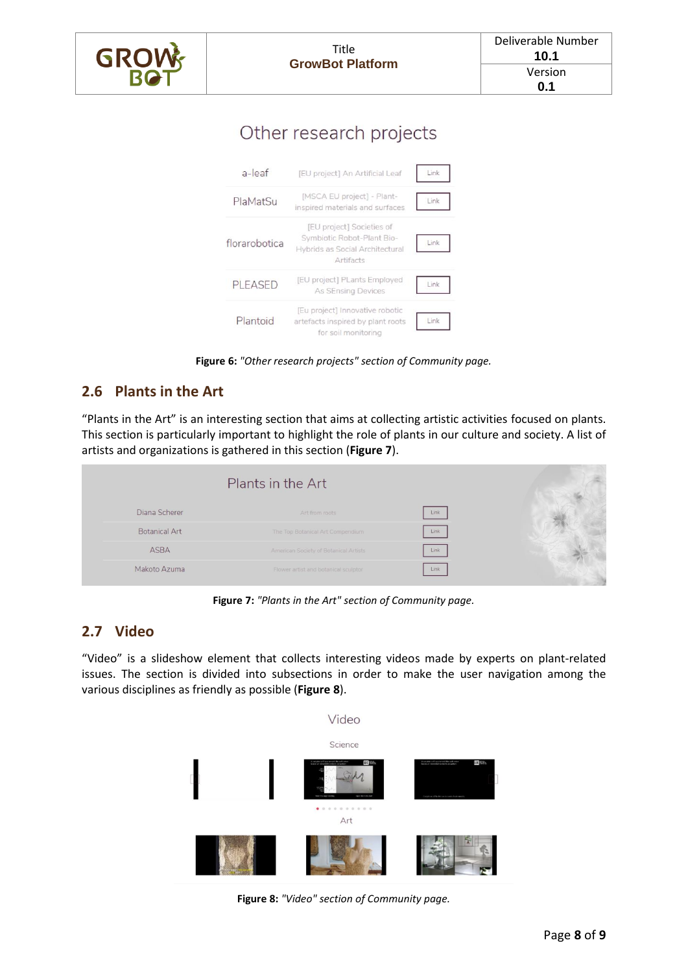| <b>GROW</b> | Title<br><b>GrowBot Platform</b> | Deliverable Number<br>10.1 |
|-------------|----------------------------------|----------------------------|
|             |                                  | Version                    |
|             |                                  | 0.1                        |
|             |                                  |                            |

## Other research projects



**Figure 6:** *"Other research projects" section of Community page.*

#### <span id="page-7-2"></span><span id="page-7-0"></span>**2.6 Plants in the Art**

"Plants in the Art" is an interesting section that aims at collecting artistic activities focused on plants. This section is particularly important to highlight the role of plants in our culture and society. A list of artists and organizations is gathered in this section (**[Figure 7](#page-7-3)**).

|                      | Plants in the Art                     |      |  |
|----------------------|---------------------------------------|------|--|
| Diana Scherer        | Art from roots                        | Link |  |
| <b>Botanical Art</b> | The Top Botanical Art Compendium      | Link |  |
| <b>ASBA</b>          | American Society of Botanical Artists | Link |  |
| Makoto Azuma         | Flower artist and botanical sculptor  | Link |  |

**Figure 7:** *"Plants in the Art" section of Community page.*

#### <span id="page-7-3"></span><span id="page-7-1"></span>**2.7 Video**

"Video" is a slideshow element that collects interesting videos made by experts on plant-related issues. The section is divided into subsections in order to make the user navigation among the various disciplines as friendly as possible (**[Figure 8](#page-7-4)**).

<span id="page-7-4"></span>

**Figure 8:** *"Video" section of Community page.*